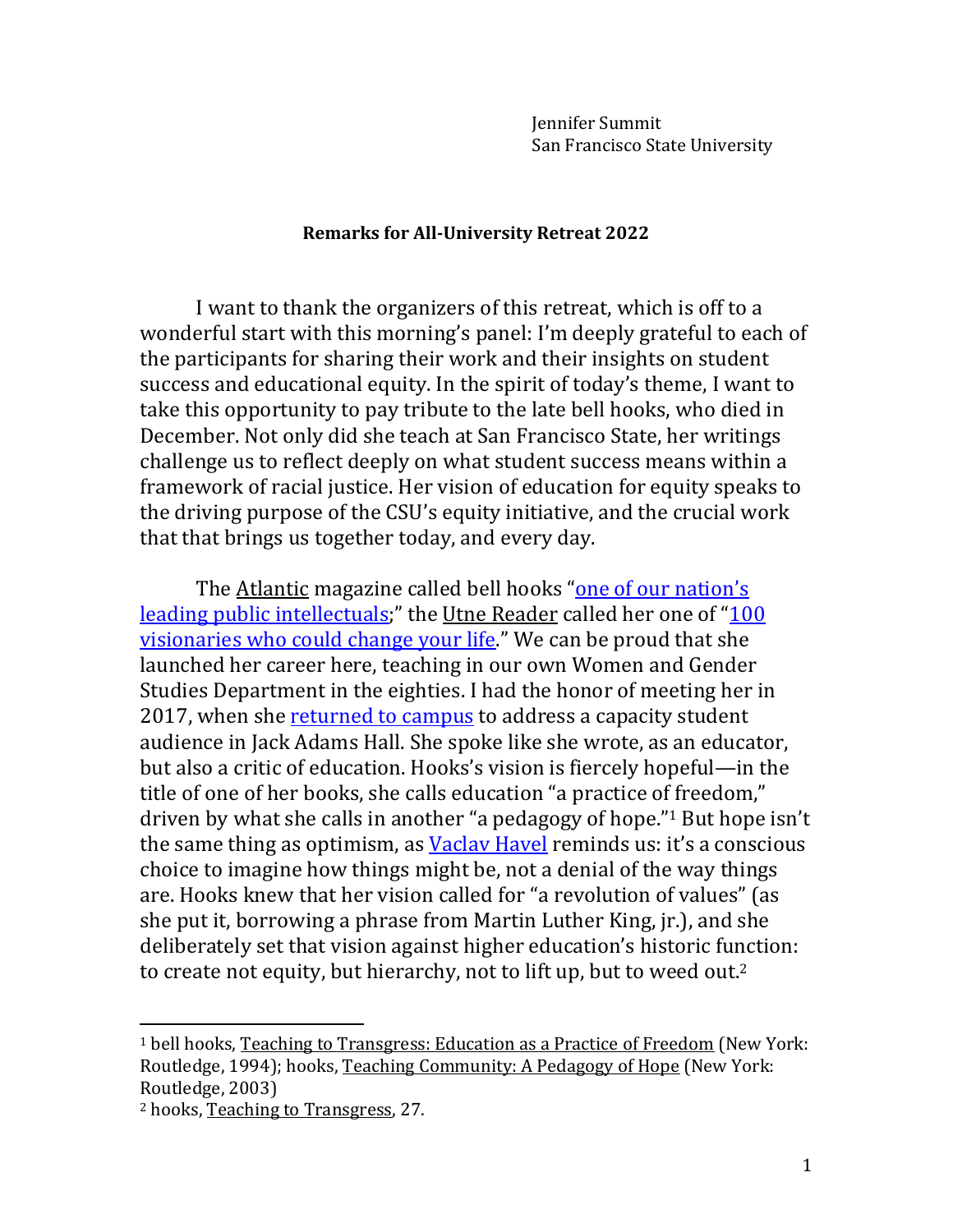Jennifer Summit San Francisco State University

## **Remarks for All-University Retreat 2022**

I want to thank the organizers of this retreat, which is off to a wonderful start with this morning's panel: I'm deeply grateful to each of the participants for sharing their work and their insights on student success and educational equity. In the spirit of today's theme, I want to take this opportunity to pay tribute to the late bell hooks, who died in December. Not only did she teach at San Francisco State, her writings challenge us to reflect deeply on what student success means within a framework of racial justice. Her vision of education for equity speaks to the driving purpose of the CSU's equity initiative, and the crucial work that that brings us together today, and every day.

The <u>Atlantic</u> magazine called bell hooks "one of our [nation's](https://www.poetryfoundation.org/poets/bell-hooks) leading public [intellectuals;](https://www.poetryfoundation.org/poets/bell-hooks)" the Utne Reader called her one of "[100](https://www.berea.edu/bhc/about-bell/) [visionaries](https://www.berea.edu/bhc/about-bell/) who could change your life." We can be proud that she launched her career here, teaching in our own Women and Gender Studies Department in the eighties. I had the honor of meeting her in 2017, when she [returned](https://goldengatexpress.org/75786/latest/news/capacity-exceeded-at-bell-hooks-event/) to campus to address a capacity student audience in Jack Adams Hall. She spoke like she wrote, as an educator, but also a critic of education. Hooks's vision is fiercely hopeful—in the title of one of her books, she calls education "a practice of freedom," driven by what she calls in another "a pedagogy of hope." <sup>1</sup> But hope isn't the same thing as optimism, as Vaclay Havel reminds us: it's a conscious choice to imagine how things might be, not a denial of the way things are. Hooks knew that her vision called for "a revolution of values" (as she put it, borrowing a phrase from Martin Luther King, jr.), and she deliberately set that vision against higher education's historic function: to create not equity, but hierarchy, not to lift up, but to weed out.<sup>2</sup>

<sup>&</sup>lt;sup>1</sup> bell hooks, Teaching to Transgress: Education as a Practice of Freedom (New York: Routledge, 1994); hooks, Teaching Community: A Pedagogy of Hope (New York: Routledge, 2003)

<sup>2</sup> hooks, Teaching to Transgress, 27.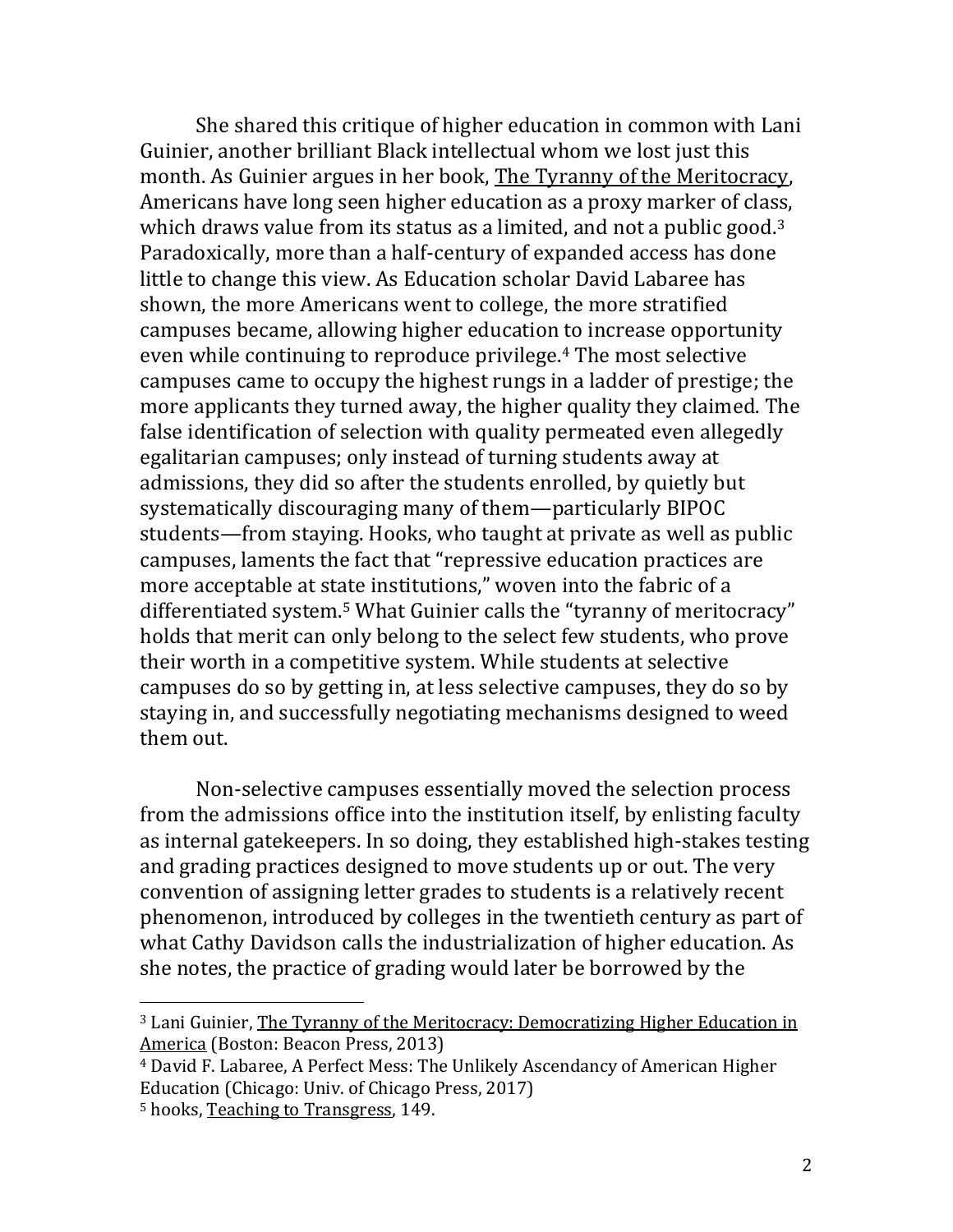She shared this critique of higher education in common with Lani Guinier, another brilliant Black intellectual whom we lost just this month. As Guinier argues in her book, The Tyranny of the Meritocracy, Americans have long seen higher education as a proxy marker of class, which draws value from its status as a limited, and not a public good.<sup>3</sup> Paradoxically, more than a half-century of expanded access has done little to change this view. As Education scholar David Labaree has shown, the more Americans went to college, the more stratified campuses became, allowing higher education to increase opportunity even while continuing to reproduce privilege. <sup>4</sup> The most selective campuses came to occupy the highest rungs in a ladder of prestige; the more applicants they turned away, the higher quality they claimed. The false identification of selection with quality permeated even allegedly egalitarian campuses; only instead of turning students away at admissions, they did so after the students enrolled, by quietly but systematically discouraging many of them—particularly BIPOC students—from staying. Hooks, who taught at private as well as public campuses, laments the fact that "repressive education practices are more acceptable at state institutions," woven into the fabric of a differentiated system.<sup>5</sup> What Guinier calls the "tyranny of meritocracy" holds that merit can only belong to the select few students, who prove their worth in a competitive system. While students at selective campuses do so by getting in, at less selective campuses, they do so by staying in, and successfully negotiating mechanisms designed to weed them out.

Non-selective campuses essentially moved the selection process from the admissions office into the institution itself, by enlisting faculty as internal gatekeepers. In so doing, they established high-stakes testing and grading practices designed to move students up or out. The very convention of assigning letter grades to students is a relatively recent phenomenon, introduced by colleges in the twentieth century as part of what Cathy Davidson calls the industrialization of higher education. As she notes, the practice of grading would later be borrowed by the

<sup>3</sup> Lani Guinier, The Tyranny of the Meritocracy: Democratizing Higher Education in America (Boston: Beacon Press, 2013)

<sup>4</sup> David F. Labaree, A Perfect Mess: The Unlikely Ascendancy of American Higher Education (Chicago: Univ. of Chicago Press, 2017)

<sup>5</sup> hooks, Teaching to Transgress, 149.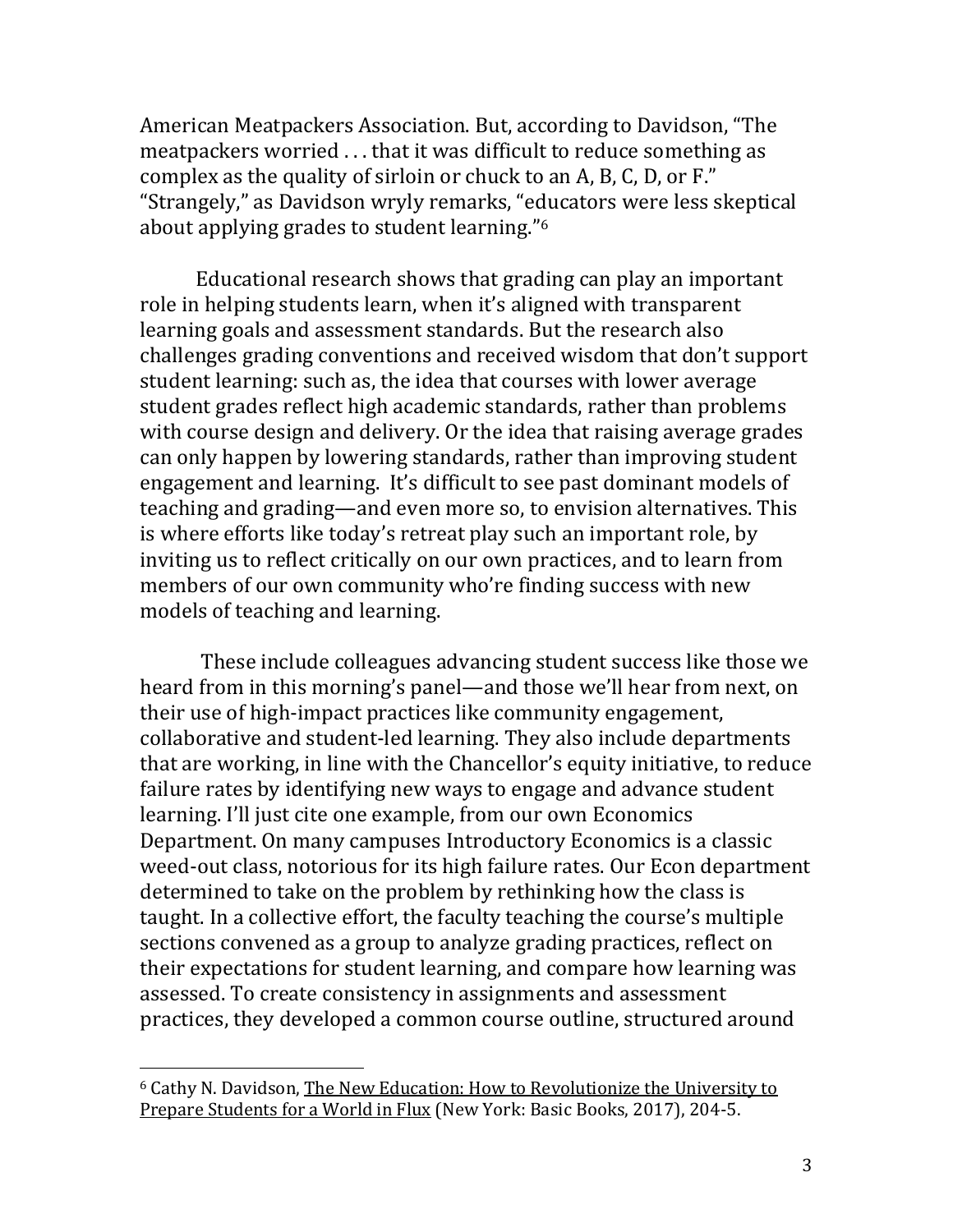American Meatpackers Association. But, according to Davidson, "The meatpackers worried . . . that it was difficult to reduce something as complex as the quality of sirloin or chuck to an A, B, C, D, or F." "Strangely," as Davidson wryly remarks, "educators were less skeptical about applying grades to student learning." 6

Educational research shows that grading can play an important role in helping students learn, when it's aligned with transparent learning goals and assessment standards. But the research also challenges grading conventions and received wisdom that don't support student learning: such as, the idea that courses with lower average student grades reflect high academic standards, rather than problems with course design and delivery. Or the idea that raising average grades can only happen by lowering standards, rather than improving student engagement and learning. It's difficult to see past dominant models of teaching and grading—and even more so, to envision alternatives. This is where efforts like today's retreat play such an important role, by inviting us to reflect critically on our own practices, and to learn from members of our own community who're finding success with new models of teaching and learning.

These include colleagues advancing student success like those we heard from in this morning's panel—and those we'll hear from next, on their use of high-impact practices like community engagement, collaborative and student-led learning. They also include departments that are working, in line with the Chancellor's equity initiative, to reduce failure rates by identifying new ways to engage and advance student learning. I'll just cite one example, from our own Economics Department. On many campuses Introductory Economics is a classic weed-out class, notorious for its high failure rates. Our Econ department determined to take on the problem by rethinking how the class is taught. In a collective effort, the faculty teaching the course's multiple sections convened as a group to analyze grading practices, reflect on their expectations for student learning, and compare how learning was assessed. To create consistency in assignments and assessment practices, they developed a common course outline, structured around

<sup>6</sup> Cathy N. Davidson, The New Education: How to Revolutionize the University to Prepare Students for a World in Flux (New York: Basic Books, 2017), 204-5.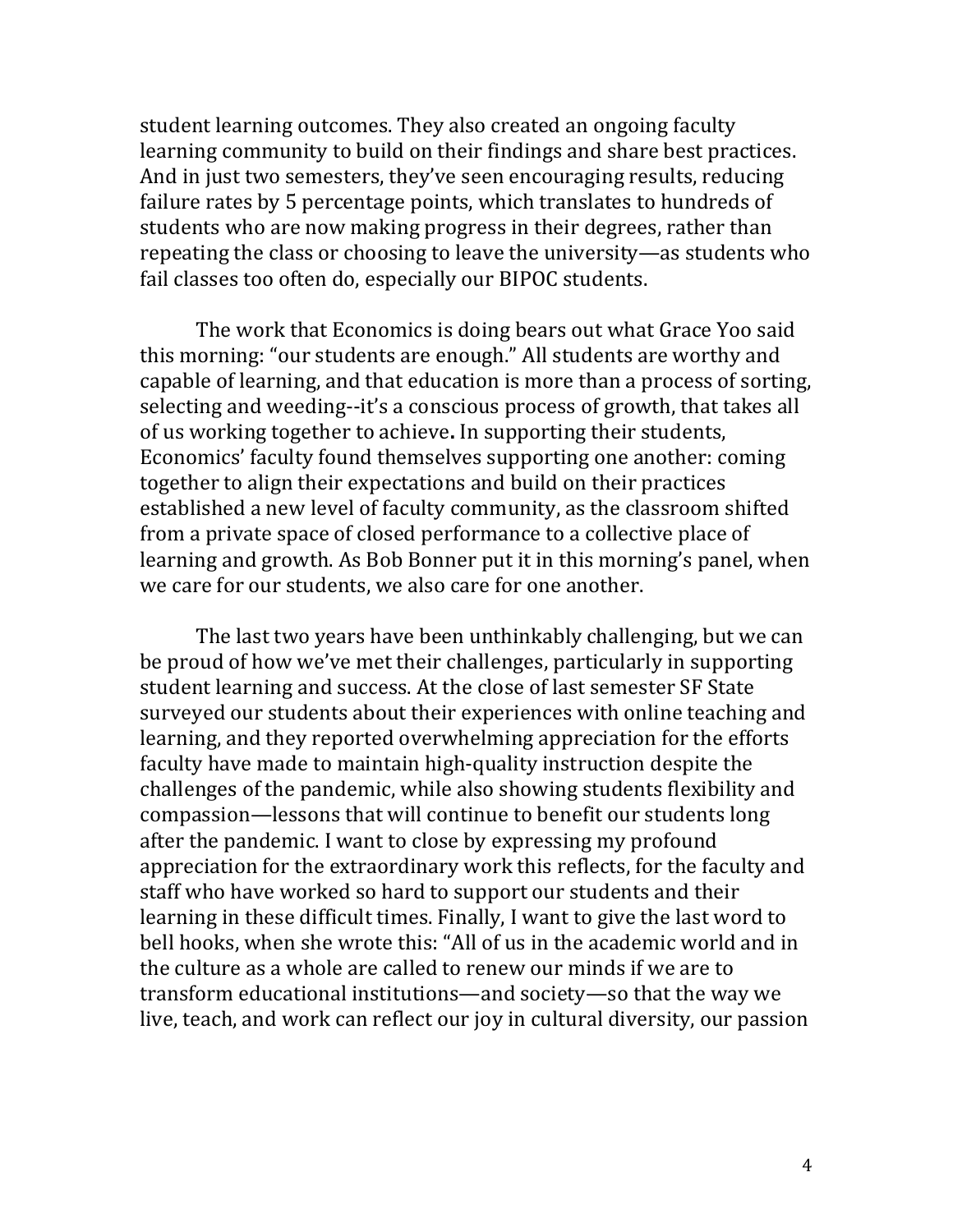student learning outcomes. They also created an ongoing faculty learning community to build on their findings and share best practices. And in just two semesters, they've seen encouraging results, reducing failure rates by 5 percentage points, which translates to hundreds of students who are now making progress in their degrees, rather than repeating the class or choosing to leave the university—as students who fail classes too often do, especially our BIPOC students.

The work that Economics is doing bears out what Grace Yoo said this morning: "our students are enough." All students are worthy and capable of learning, and that education is more than a process of sorting, selecting and weeding--it's a conscious process of growth, that takes all of us working together to achieve**.** In supporting their students, Economics' faculty found themselves supporting one another: coming together to align their expectations and build on their practices established a new level of faculty community, as the classroom shifted from a private space of closed performance to a collective place of learning and growth. As Bob Bonner put it in this morning's panel, when we care for our students, we also care for one another.

The last two years have been unthinkably challenging, but we can be proud of how we've met their challenges, particularly in supporting student learning and success. At the close of last semester SF State surveyed our students about their experiences with online teaching and learning, and they reported overwhelming appreciation for the efforts faculty have made to maintain high-quality instruction despite the challenges of the pandemic, while also showing students flexibility and compassion—lessons that will continue to benefit our students long after the pandemic. I want to close by expressing my profound appreciation for the extraordinary work this reflects, for the faculty and staff who have worked so hard to support our students and their learning in these difficult times. Finally, I want to give the last word to bell hooks, when she wrote this: "All of us in the academic world and in the culture as a whole are called to renew our minds if we are to transform educational institutions—and society—so that the way we live, teach, and work can reflect our joy in cultural diversity, our passion